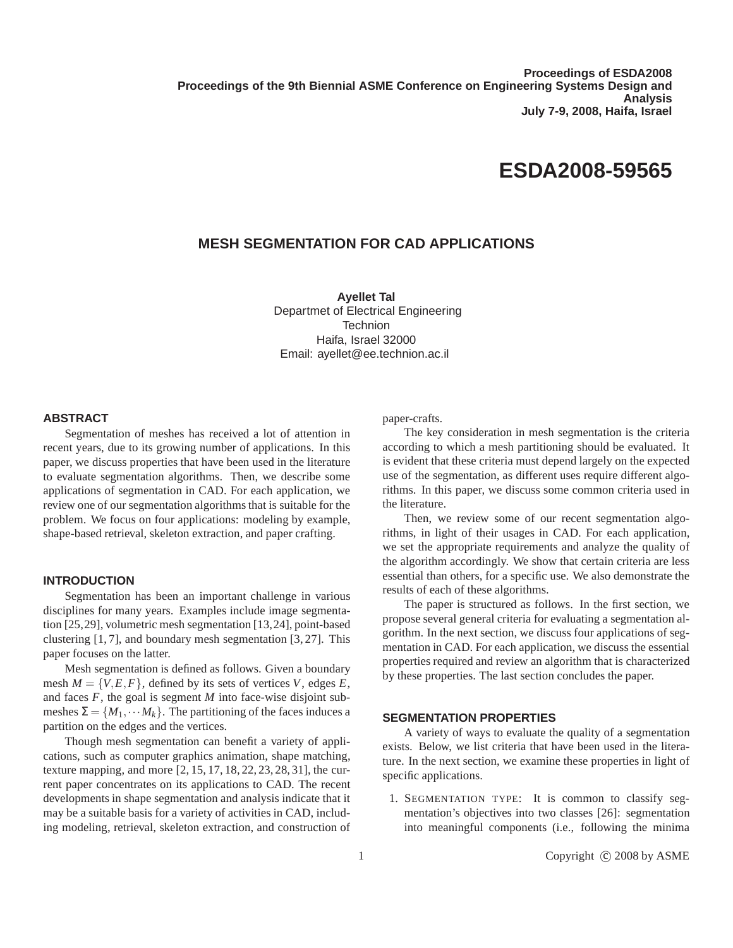**Proceedings of ESDA2008 Proceedings of the 9th Biennial ASME Conference on Engineering Systems Design and Analysis July 7-9, 2008, Haifa, Israel**

# **ESDA2008-59565**

# **MESH SEGMENTATION FOR CAD APPLICATIONS**

**Ayellet Tal** Departmet of Electrical Engineering **Technion** Haifa, Israel 32000 Email: ayellet@ee.technion.ac.il

## **ABSTRACT**

Segmentation of meshes has received a lot of attention in recent years, due to its growing number of applications. In this paper, we discuss properties that have been used in the literature to evaluate segmentation algorithms. Then, we describe some applications of segmentation in CAD. For each application, we review one of our segmentation algorithms that is suitable for the problem. We focus on four applications: modeling by example, shape-based retrieval, skeleton extraction, and paper crafting.

#### **INTRODUCTION**

Segmentation has been an important challenge in various disciplines for many years. Examples include image segmentation [25,29], volumetric mesh segmentation [13,24], point-based clustering [1, 7], and boundary mesh segmentation [3, 27]. This paper focuses on the latter.

Mesh segmentation is defined as follows. Given a boundary mesh  $M = \{V, E, F\}$ , defined by its sets of vertices *V*, edges *E*, and faces *F*, the goal is segment *M* into face-wise disjoint submeshes  $\Sigma = \{M_1, \dots, M_k\}$ . The partitioning of the faces induces a partition on the edges and the vertices.

Though mesh segmentation can benefit a variety of applications, such as computer graphics animation, shape matching, texture mapping, and more [2, 15, 17, 18, 22, 23, 28, 31], the current paper concentrates on its applications to CAD. The recent developments in shape segmentation and analysis indicate that it may be a suitable basis for a variety of activities in CAD, including modeling, retrieval, skeleton extraction, and construction of paper-crafts.

The key consideration in mesh segmentation is the criteria according to which a mesh partitioning should be evaluated. It is evident that these criteria must depend largely on the expected use of the segmentation, as different uses require different algorithms. In this paper, we discuss some common criteria used in the literature.

Then, we review some of our recent segmentation algorithms, in light of their usages in CAD. For each application, we set the appropriate requirements and analyze the quality of the algorithm accordingly. We show that certain criteria are less essential than others, for a specific use. We also demonstrate the results of each of these algorithms.

The paper is structured as follows. In the first section, we propose several general criteria for evaluating a segmentation algorithm. In the next section, we discuss four applications of segmentation in CAD. For each application, we discuss the essential properties required and review an algorithm that is characterized by these properties. The last section concludes the paper.

#### **SEGMENTATION PROPERTIES**

A variety of ways to evaluate the quality of a segmentation exists. Below, we list criteria that have been used in the literature. In the next section, we examine these properties in light of specific applications.

1. SEGMENTATION TYPE: It is common to classify segmentation's objectives into two classes [26]: segmentation into meaningful components (i.e., following the minima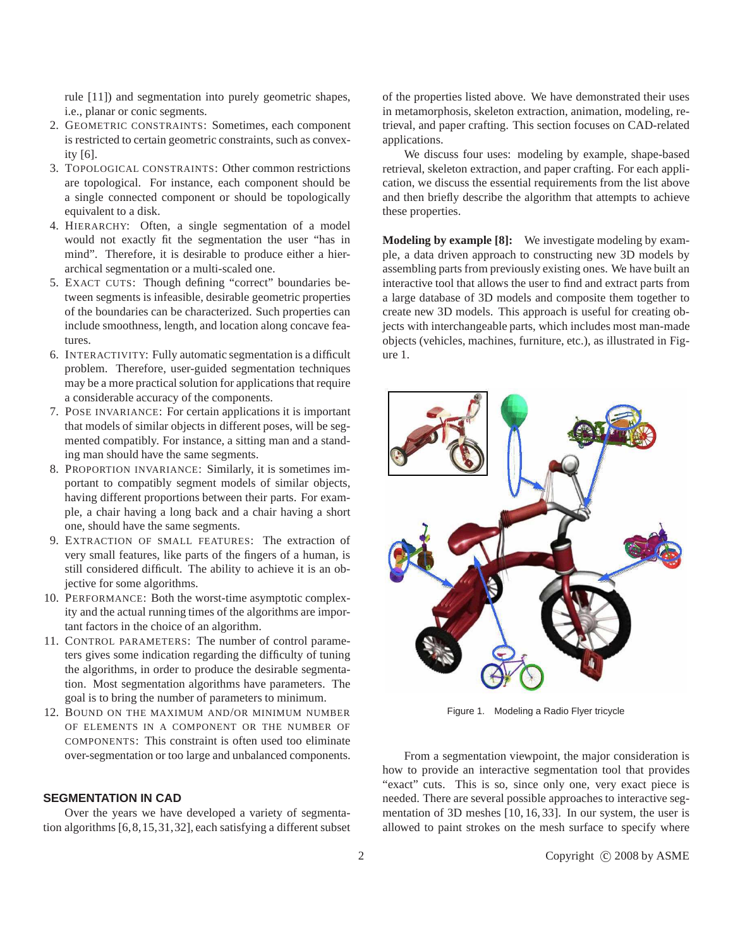rule [11]) and segmentation into purely geometric shapes, i.e., planar or conic segments.

- 2. GEOMETRIC CONSTRAINTS: Sometimes, each component is restricted to certain geometric constraints, such as convexity [6].
- 3. TOPOLOGICAL CONSTRAINTS: Other common restrictions are topological. For instance, each component should be a single connected component or should be topologically equivalent to a disk.
- 4. HIERARCHY: Often, a single segmentation of a model would not exactly fit the segmentation the user "has in mind". Therefore, it is desirable to produce either a hierarchical segmentation or a multi-scaled one.
- 5. EXACT CUTS: Though defining "correct" boundaries between segments is infeasible, desirable geometric properties of the boundaries can be characterized. Such properties can include smoothness, length, and location along concave features.
- 6. INTERACTIVITY: Fully automatic segmentation is a difficult problem. Therefore, user-guided segmentation techniques may be a more practical solution for applications that require a considerable accuracy of the components.
- 7. POSE INVARIANCE: For certain applications it is important that models of similar objects in different poses, will be segmented compatibly. For instance, a sitting man and a standing man should have the same segments.
- 8. PROPORTION INVARIANCE: Similarly, it is sometimes important to compatibly segment models of similar objects, having different proportions between their parts. For example, a chair having a long back and a chair having a short one, should have the same segments.
- 9. EXTRACTION OF SMALL FEATURES: The extraction of very small features, like parts of the fingers of a human, is still considered difficult. The ability to achieve it is an objective for some algorithms.
- 10. PERFORMANCE: Both the worst-time asymptotic complexity and the actual running times of the algorithms are important factors in the choice of an algorithm.
- 11. CONTROL PARAMETERS: The number of control parameters gives some indication regarding the difficulty of tuning the algorithms, in order to produce the desirable segmentation. Most segmentation algorithms have parameters. The goal is to bring the number of parameters to minimum.
- 12. BOUND ON THE MAXIMUM AND/OR MINIMUM NUMBER OF ELEMENTS IN A COMPONENT OR THE NUMBER OF COMPONENTS: This constraint is often used too eliminate over-segmentation or too large and unbalanced components.

# **SEGMENTATION IN CAD**

Over the years we have developed a variety of segmentation algorithms [6,8,15,31,32], each satisfying a different subset of the properties listed above. We have demonstrated their uses in metamorphosis, skeleton extraction, animation, modeling, retrieval, and paper crafting. This section focuses on CAD-related applications.

We discuss four uses: modeling by example, shape-based retrieval, skeleton extraction, and paper crafting. For each application, we discuss the essential requirements from the list above and then briefly describe the algorithm that attempts to achieve these properties.

**Modeling by example [8]:** We investigate modeling by example, a data driven approach to constructing new 3D models by assembling parts from previously existing ones. We have built an interactive tool that allows the user to find and extract parts from a large database of 3D models and composite them together to create new 3D models. This approach is useful for creating objects with interchangeable parts, which includes most man-made objects (vehicles, machines, furniture, etc.), as illustrated in Figure 1.



Figure 1. Modeling a Radio Flyer tricycle

From a segmentation viewpoint, the major consideration is how to provide an interactive segmentation tool that provides "exact" cuts. This is so, since only one, very exact piece is needed. There are several possible approaches to interactive segmentation of 3D meshes [10, 16, 33]. In our system, the user is allowed to paint strokes on the mesh surface to specify where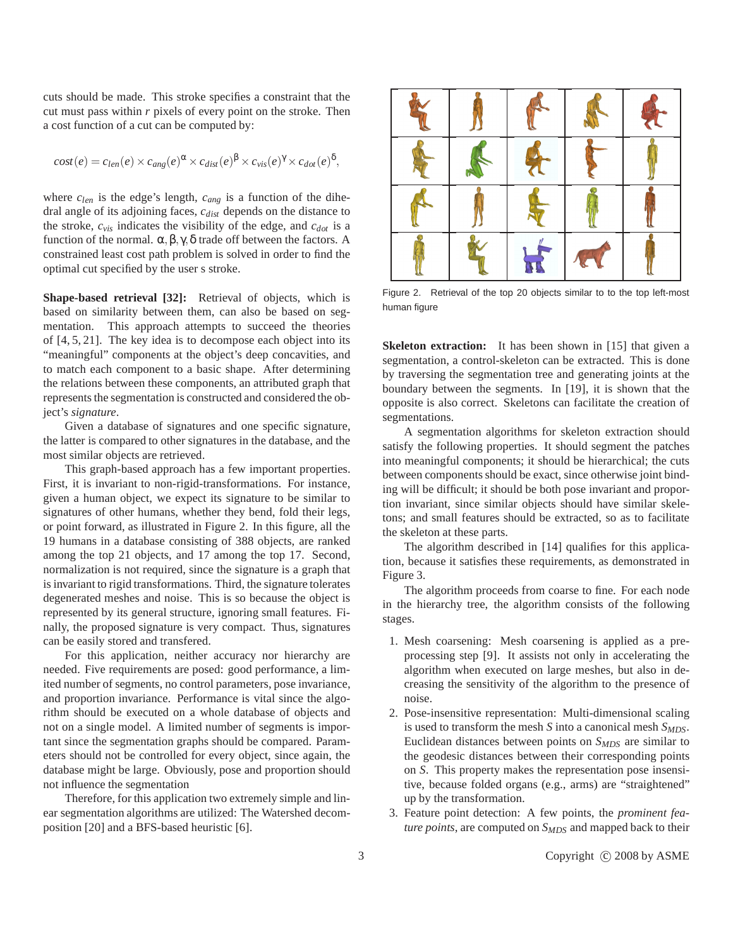cuts should be made. This stroke specifies a constraint that the cut must pass within *r* pixels of every point on the stroke. Then a cost function of a cut can be computed by:

$$
cost(e) = c_{len}(e) \times c_{ang}(e)^{\alpha} \times c_{dist}(e)^{\beta} \times c_{vis}(e)^{\gamma} \times c_{dot}(e)^{\delta},
$$

where  $c_{len}$  is the edge's length,  $c_{ang}$  is a function of the dihedral angle of its adjoining faces, *cdist* depends on the distance to the stroke, *cvis* indicates the visibility of the edge, and *cdot* is a function of the normal.  $\alpha, \beta, \gamma, \delta$  trade off between the factors. A constrained least cost path problem is solved in order to find the optimal cut specified by the user s stroke.

**Shape-based retrieval [32]:** Retrieval of objects, which is based on similarity between them, can also be based on segmentation. This approach attempts to succeed the theories of [4, 5, 21]. The key idea is to decompose each object into its "meaningful" components at the object's deep concavities, and to match each component to a basic shape. After determining the relations between these components, an attributed graph that represents the segmentation is constructed and considered the object's *signature*.

Given a database of signatures and one specific signature, the latter is compared to other signatures in the database, and the most similar objects are retrieved.

This graph-based approach has a few important properties. First, it is invariant to non-rigid-transformations. For instance, given a human object, we expect its signature to be similar to signatures of other humans, whether they bend, fold their legs, or point forward, as illustrated in Figure 2. In this figure, all the 19 humans in a database consisting of 388 objects, are ranked among the top 21 objects, and 17 among the top 17. Second, normalization is not required, since the signature is a graph that is invariant to rigid transformations. Third, the signature tolerates degenerated meshes and noise. This is so because the object is represented by its general structure, ignoring small features. Finally, the proposed signature is very compact. Thus, signatures can be easily stored and transfered.

For this application, neither accuracy nor hierarchy are needed. Five requirements are posed: good performance, a limited number of segments, no control parameters, pose invariance, and proportion invariance. Performance is vital since the algorithm should be executed on a whole database of objects and not on a single model. A limited number of segments is important since the segmentation graphs should be compared. Parameters should not be controlled for every object, since again, the database might be large. Obviously, pose and proportion should not influence the segmentation

Therefore, for this application two extremely simple and linear segmentation algorithms are utilized: The Watershed decomposition [20] and a BFS-based heuristic [6].



Figure 2. Retrieval of the top 20 objects similar to to the top left-most human figure

**Skeleton extraction:** It has been shown in [15] that given a segmentation, a control-skeleton can be extracted. This is done by traversing the segmentation tree and generating joints at the boundary between the segments. In [19], it is shown that the opposite is also correct. Skeletons can facilitate the creation of segmentations.

A segmentation algorithms for skeleton extraction should satisfy the following properties. It should segment the patches into meaningful components; it should be hierarchical; the cuts between components should be exact, since otherwise joint binding will be difficult; it should be both pose invariant and proportion invariant, since similar objects should have similar skeletons; and small features should be extracted, so as to facilitate the skeleton at these parts.

The algorithm described in [14] qualifies for this application, because it satisfies these requirements, as demonstrated in Figure 3.

The algorithm proceeds from coarse to fine. For each node in the hierarchy tree, the algorithm consists of the following stages.

- 1. Mesh coarsening: Mesh coarsening is applied as a preprocessing step [9]. It assists not only in accelerating the algorithm when executed on large meshes, but also in decreasing the sensitivity of the algorithm to the presence of noise.
- 2. Pose-insensitive representation: Multi-dimensional scaling is used to transform the mesh *S* into a canonical mesh *SMDS*. Euclidean distances between points on *SMDS* are similar to the geodesic distances between their corresponding points on *S*. This property makes the representation pose insensitive, because folded organs (e.g., arms) are "straightened" up by the transformation.
- 3. Feature point detection: A few points, the *prominent feature points*, are computed on *SMDS* and mapped back to their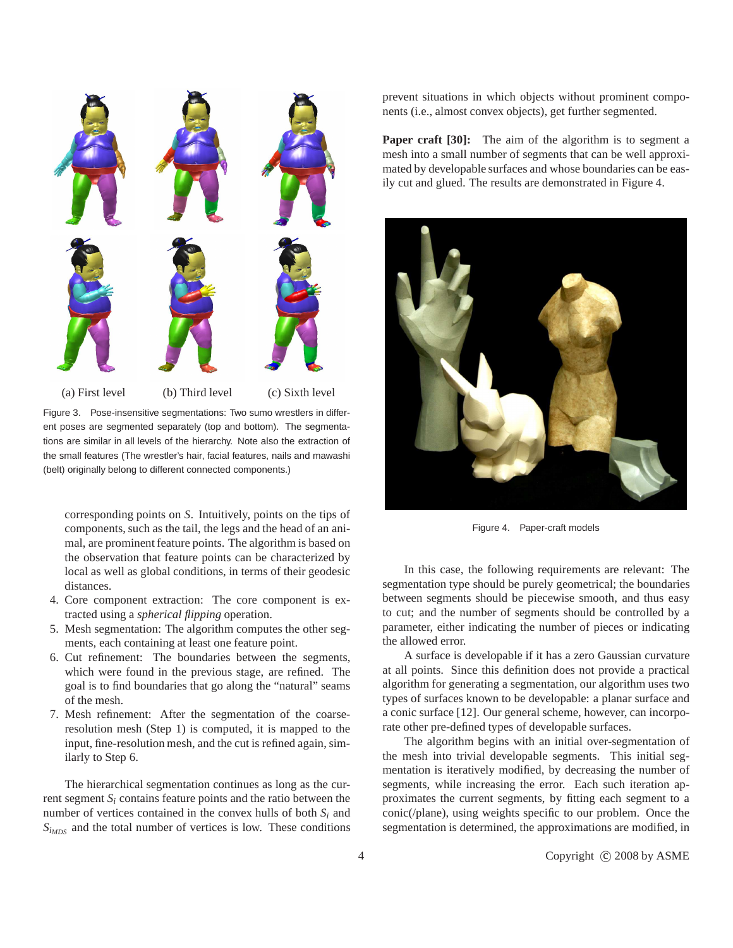

(a) First level (b) Third level (c) Sixth level

Figure 3. Pose-insensitive segmentations: Two sumo wrestlers in different poses are segmented separately (top and bottom). The segmentations are similar in all levels of the hierarchy. Note also the extraction of the small features (The wrestler's hair, facial features, nails and mawashi (belt) originally belong to different connected components.)

corresponding points on *S*. Intuitively, points on the tips of components, such as the tail, the legs and the head of an animal, are prominent feature points. The algorithm is based on the observation that feature points can be characterized by local as well as global conditions, in terms of their geodesic distances.

- 4. Core component extraction: The core component is extracted using a *spherical flipping* operation.
- 5. Mesh segmentation: The algorithm computes the other segments, each containing at least one feature point.
- 6. Cut refinement: The boundaries between the segments, which were found in the previous stage, are refined. The goal is to find boundaries that go along the "natural" seams of the mesh.
- 7. Mesh refinement: After the segmentation of the coarseresolution mesh (Step 1) is computed, it is mapped to the input, fine-resolution mesh, and the cut is refined again, similarly to Step 6.

The hierarchical segmentation continues as long as the current segment *S<sup>i</sup>* contains feature points and the ratio between the number of vertices contained in the convex hulls of both  $S_i$  and  $S<sub>iMDS</sub>$  and the total number of vertices is low. These conditions

prevent situations in which objects without prominent components (i.e., almost convex objects), get further segmented.

**Paper craft [30]:** The aim of the algorithm is to segment a mesh into a small number of segments that can be well approximated by developable surfaces and whose boundaries can be easily cut and glued. The results are demonstrated in Figure 4.



Figure 4. Paper-craft models

In this case, the following requirements are relevant: The segmentation type should be purely geometrical; the boundaries between segments should be piecewise smooth, and thus easy to cut; and the number of segments should be controlled by a parameter, either indicating the number of pieces or indicating the allowed error.

A surface is developable if it has a zero Gaussian curvature at all points. Since this definition does not provide a practical algorithm for generating a segmentation, our algorithm uses two types of surfaces known to be developable: a planar surface and a conic surface [12]. Our general scheme, however, can incorporate other pre-defined types of developable surfaces.

The algorithm begins with an initial over-segmentation of the mesh into trivial developable segments. This initial segmentation is iteratively modified, by decreasing the number of segments, while increasing the error. Each such iteration approximates the current segments, by fitting each segment to a conic(/plane), using weights specific to our problem. Once the segmentation is determined, the approximations are modified, in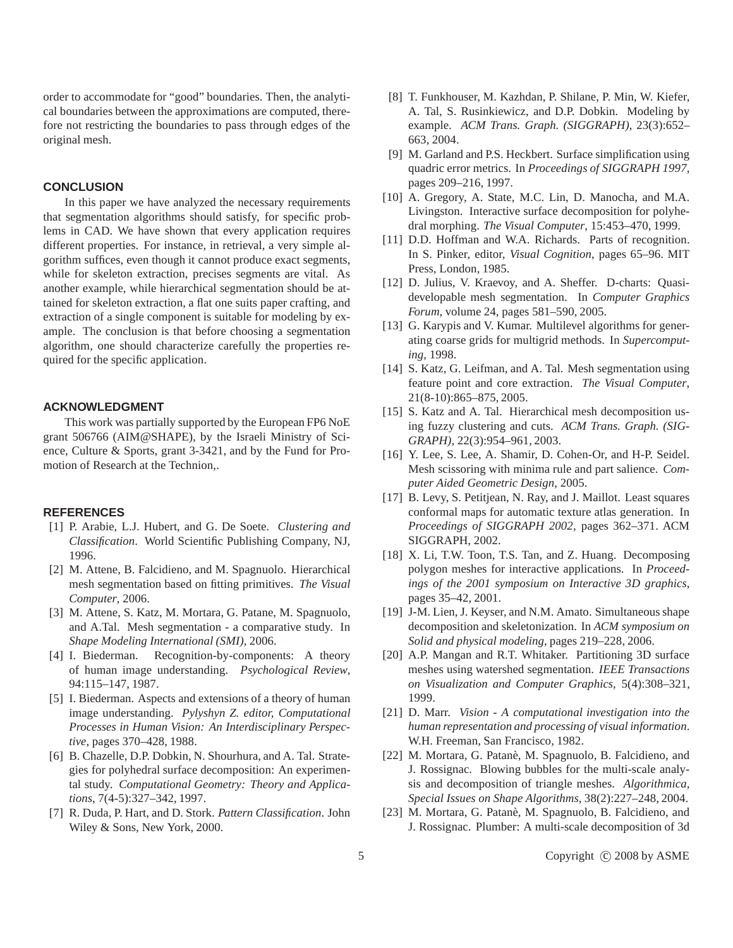order to accommodate for "good" boundaries. Then, the analytical boundaries between the approximations are computed, therefore not restricting the boundaries to pass through edges of the original mesh.

## **CONCLUSION**

In this paper we have analyzed the necessary requirements that segmentation algorithms should satisfy, for specific problems in CAD. We have shown that every application requires different properties. For instance, in retrieval, a very simple algorithm suffices, even though it cannot produce exact segments, while for skeleton extraction, precises segments are vital. As another example, while hierarchical segmentation should be attained for skeleton extraction, a flat one suits paper crafting, and extraction of a single component is suitable for modeling by example. The conclusion is that before choosing a segmentation algorithm, one should characterize carefully the properties required for the specific application.

#### **ACKNOWLEDGMENT**

This work was partially supported by the European FP6 NoE grant 506766 (AIM@SHAPE), by the Israeli Ministry of Science, Culture & Sports, grant 3-3421, and by the Fund for Promotion of Research at the Technion,.

#### **REFERENCES**

- [1] P. Arabie, L.J. Hubert, and G. De Soete. *Clustering and Classification*. World Scientific Publishing Company, NJ, 1996.
- [2] M. Attene, B. Falcidieno, and M. Spagnuolo. Hierarchical mesh segmentation based on fitting primitives. *The Visual Computer*, 2006.
- [3] M. Attene, S. Katz, M. Mortara, G. Patane, M. Spagnuolo, and A.Tal. Mesh segmentation - a comparative study. In *Shape Modeling International (SMI)*, 2006.
- [4] I. Biederman. Recognition-by-components: A theory of human image understanding. *Psychological Review*, 94:115–147, 1987.
- [5] I. Biederman. Aspects and extensions of a theory of human image understanding. *Pylyshyn Z. editor, Computational Processes in Human Vision: An Interdisciplinary Perspective*, pages 370–428, 1988.
- [6] B. Chazelle, D.P. Dobkin, N. Shourhura, and A. Tal. Strategies for polyhedral surface decomposition: An experimental study. *Computational Geometry: Theory and Applications*, 7(4-5):327–342, 1997.
- [7] R. Duda, P. Hart, and D. Stork. *Pattern Classification*. John Wiley & Sons, New York, 2000.
- [8] T. Funkhouser, M. Kazhdan, P. Shilane, P. Min, W. Kiefer, A. Tal, S. Rusinkiewicz, and D.P. Dobkin. Modeling by example. *ACM Trans. Graph. (SIGGRAPH)*, 23(3):652– 663, 2004.
- [9] M. Garland and P.S. Heckbert. Surface simplification using quadric error metrics. In *Proceedings of SIGGRAPH 1997*, pages 209–216, 1997.
- [10] A. Gregory, A. State, M.C. Lin, D. Manocha, and M.A. Livingston. Interactive surface decomposition for polyhedral morphing. *The Visual Computer*, 15:453–470, 1999.
- [11] D.D. Hoffman and W.A. Richards. Parts of recognition. In S. Pinker, editor, *Visual Cognition*, pages 65–96. MIT Press, London, 1985.
- [12] D. Julius, V. Kraevoy, and A. Sheffer. D-charts: Quasidevelopable mesh segmentation. In *Computer Graphics Forum*, volume 24, pages 581–590, 2005.
- [13] G. Karypis and V. Kumar. Multilevel algorithms for generating coarse grids for multigrid methods. In *Supercomputing*, 1998.
- [14] S. Katz, G. Leifman, and A. Tal. Mesh segmentation using feature point and core extraction. *The Visual Computer*, 21(8-10):865–875, 2005.
- [15] S. Katz and A. Tal. Hierarchical mesh decomposition using fuzzy clustering and cuts. *ACM Trans. Graph. (SIG-GRAPH)*, 22(3):954–961, 2003.
- [16] Y. Lee, S. Lee, A. Shamir, D. Cohen-Or, and H-P. Seidel. Mesh scissoring with minima rule and part salience. *Computer Aided Geometric Design*, 2005.
- [17] B. Levy, S. Petitjean, N. Ray, and J. Maillot. Least squares conformal maps for automatic texture atlas generation. In *Proceedings of SIGGRAPH 2002*, pages 362–371. ACM SIGGRAPH, 2002.
- [18] X. Li, T.W. Toon, T.S. Tan, and Z. Huang. Decomposing polygon meshes for interactive applications. In *Proceedings of the 2001 symposium on Interactive 3D graphics*, pages 35–42, 2001.
- [19] J-M. Lien, J. Keyser, and N.M. Amato. Simultaneous shape decomposition and skeletonization. In *ACM symposium on Solid and physical modeling*, pages 219–228, 2006.
- [20] A.P. Mangan and R.T. Whitaker. Partitioning 3D surface meshes using watershed segmentation. *IEEE Transactions on Visualization and Computer Graphics*, 5(4):308–321, 1999.
- [21] D. Marr. *Vision A computational investigation into the human representation and processing of visual information*. W.H. Freeman, San Francisco, 1982.
- [22] M. Mortara, G. Patanè, M. Spagnuolo, B. Falcidieno, and J. Rossignac. Blowing bubbles for the multi-scale analysis and decomposition of triangle meshes. *Algorithmica, Special Issues on Shape Algorithms*, 38(2):227–248, 2004.
- [23] M. Mortara, G. Patanè, M. Spagnuolo, B. Falcidieno, and J. Rossignac. Plumber: A multi-scale decomposition of 3d